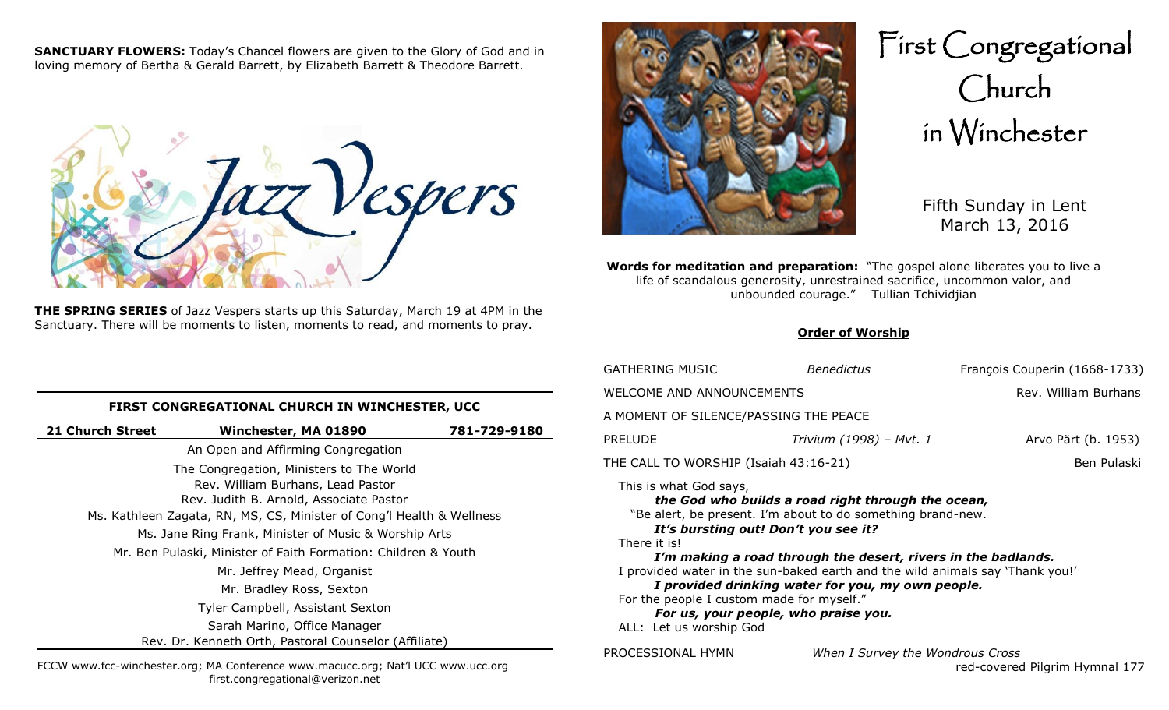**SANCTUARY FLOWERS:** Today's Chancel flowers are given to the Glory of God and in loving memory of Bertha & Gerald Barrett, by Elizabeth Barrett & Theodore Barrett.



**THE SPRING SERIES** of Jazz Vespers starts up this Saturday, March 19 at 4PM in the Sanctuary. There will be moments to listen, moments to read, and moments to pray.



First Congregational Church in Winchester

> Fifth Sunday in Lent March 13, 2016

**Words for meditation and preparation:** "The gospel alone liberates you to live a life of scandalous generosity, unrestrained sacrifice, uncommon valor, and unbounded courage." Tullian Tchividjian

#### **Order of Worship**

|    | <b>GATHERING MUSIC</b>                                                                                                                                                                                                                                                          | <b>Benedictus</b>                                                                                                                                                                                                                       | François Couperin (1668-1733)  |
|----|---------------------------------------------------------------------------------------------------------------------------------------------------------------------------------------------------------------------------------------------------------------------------------|-----------------------------------------------------------------------------------------------------------------------------------------------------------------------------------------------------------------------------------------|--------------------------------|
|    | WELCOME AND ANNOUNCEMENTS                                                                                                                                                                                                                                                       |                                                                                                                                                                                                                                         | Rev. William Burhans           |
|    | A MOMENT OF SILENCE/PASSING THE PEACE                                                                                                                                                                                                                                           |                                                                                                                                                                                                                                         |                                |
| 30 | <b>PRELUDE</b>                                                                                                                                                                                                                                                                  | Trivium (1998) - Mvt. 1                                                                                                                                                                                                                 | Arvo Pärt (b. 1953)            |
|    | THE CALL TO WORSHIP (Isaiah 43:16-21)                                                                                                                                                                                                                                           |                                                                                                                                                                                                                                         | Ben Pulaski                    |
|    | This is what God says,<br>It's bursting out! Don't you see it?<br>There it is!<br>I provided water in the sun-baked earth and the wild animals say 'Thank you!'<br>For the people I custom made for myself."<br>For us, your people, who praise you.<br>ALL: Let us worship God | the God who builds a road right through the ocean,<br>"Be alert, be present. I'm about to do something brand-new.<br>I'm making a road through the desert, rivers in the badlands.<br>I provided drinking water for you, my own people. |                                |
|    | PROCESSIONAL HYMN                                                                                                                                                                                                                                                               | When I Survey the Wondrous Cross                                                                                                                                                                                                        | red-covered Pilgrim Hymnal 177 |

**FIRST CONGREGATIONAL CHURCH IN WINCHESTER, UCC**

| 21 Church Street                                                      | Winchester, MA 01890                                  | 781-729-9180 |
|-----------------------------------------------------------------------|-------------------------------------------------------|--------------|
|                                                                       | An Open and Affirming Congregation                    |              |
|                                                                       | The Congregation, Ministers to The World              |              |
|                                                                       | Rev. William Burhans, Lead Pastor                     |              |
|                                                                       | Rev. Judith B. Arnold, Associate Pastor               |              |
| Ms. Kathleen Zagata, RN, MS, CS, Minister of Cong'l Health & Wellness |                                                       |              |
| Ms. Jane Ring Frank, Minister of Music & Worship Arts                 |                                                       |              |
| Mr. Ben Pulaski, Minister of Faith Formation: Children & Youth        |                                                       |              |
|                                                                       | Mr. Jeffrey Mead, Organist                            |              |
|                                                                       | Mr. Bradley Ross, Sexton                              |              |
|                                                                       | Tyler Campbell, Assistant Sexton                      |              |
|                                                                       | Sarah Marino, Office Manager                          |              |
|                                                                       | Rev. Dr. Kenneth Orth, Pastoral Counselor (Affiliate) |              |

FCCW www.fcc-winchester.org; MA Conference www.macucc.org; Nat'l UCC www.ucc.org first.congregational@verizon.net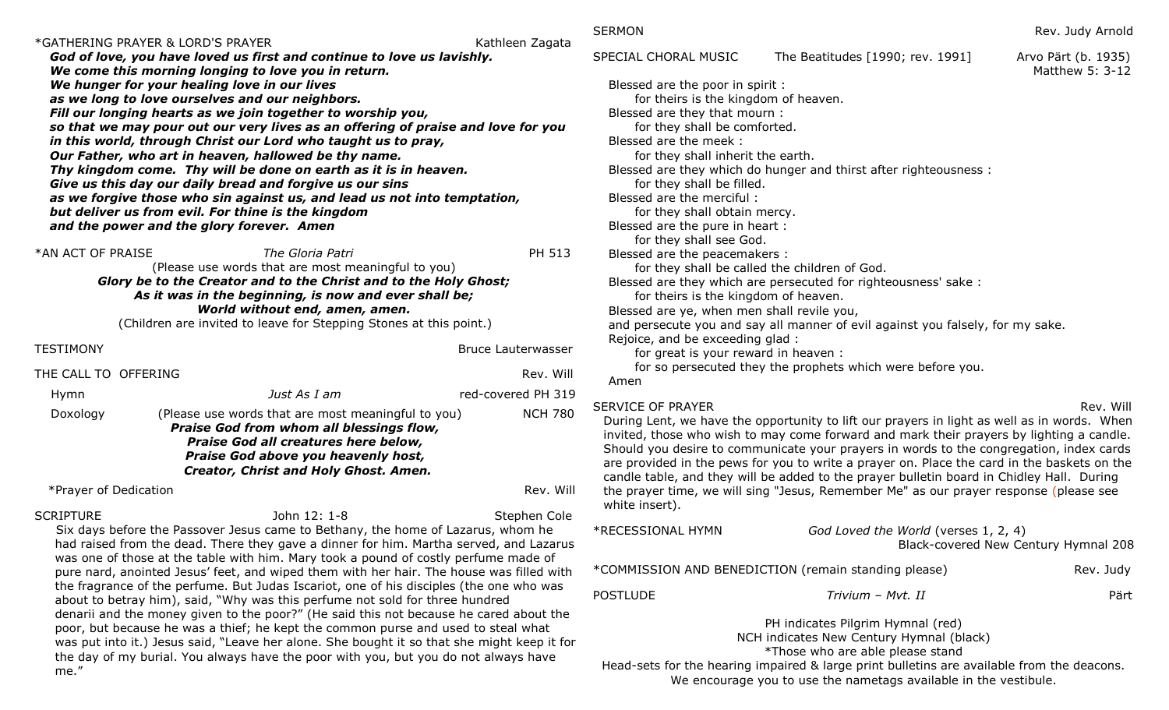|                       | *GATHERING PRAYER & LORD'S PRAYER                                                               |                                                                                                                                                                                                                                                                                                                                                                                                                                                                                                                                                                                                                                                                                                                                                                                                                                                                                                                               |                           | <b>SEF</b>                              |
|-----------------------|-------------------------------------------------------------------------------------------------|-------------------------------------------------------------------------------------------------------------------------------------------------------------------------------------------------------------------------------------------------------------------------------------------------------------------------------------------------------------------------------------------------------------------------------------------------------------------------------------------------------------------------------------------------------------------------------------------------------------------------------------------------------------------------------------------------------------------------------------------------------------------------------------------------------------------------------------------------------------------------------------------------------------------------------|---------------------------|-----------------------------------------|
|                       |                                                                                                 | God of love, you have loved us first and continue to love us lavishly.                                                                                                                                                                                                                                                                                                                                                                                                                                                                                                                                                                                                                                                                                                                                                                                                                                                        | Kathleen Zagata           | <b>SPE</b>                              |
|                       | We hunger for your healing love in our lives                                                    | We come this morning longing to love you in return.                                                                                                                                                                                                                                                                                                                                                                                                                                                                                                                                                                                                                                                                                                                                                                                                                                                                           |                           | Е                                       |
|                       | as we long to love ourselves and our neighbors.                                                 | Fill our longing hearts as we join together to worship you,                                                                                                                                                                                                                                                                                                                                                                                                                                                                                                                                                                                                                                                                                                                                                                                                                                                                   |                           | E                                       |
|                       |                                                                                                 | so that we may pour out our very lives as an offering of praise and love for you                                                                                                                                                                                                                                                                                                                                                                                                                                                                                                                                                                                                                                                                                                                                                                                                                                              |                           |                                         |
|                       |                                                                                                 | in this world, through Christ our Lord who taught us to pray,<br>Our Father, who art in heaven, hallowed be thy name.                                                                                                                                                                                                                                                                                                                                                                                                                                                                                                                                                                                                                                                                                                                                                                                                         |                           | E                                       |
|                       |                                                                                                 | Thy kingdom come. Thy will be done on earth as it is in heaven.<br>Give us this day our daily bread and forgive us our sins                                                                                                                                                                                                                                                                                                                                                                                                                                                                                                                                                                                                                                                                                                                                                                                                   |                           | E                                       |
|                       |                                                                                                 | as we forgive those who sin against us, and lead us not into temptation,                                                                                                                                                                                                                                                                                                                                                                                                                                                                                                                                                                                                                                                                                                                                                                                                                                                      |                           | E                                       |
|                       | but deliver us from evil. For thine is the kingdom<br>and the power and the glory forever. Amen |                                                                                                                                                                                                                                                                                                                                                                                                                                                                                                                                                                                                                                                                                                                                                                                                                                                                                                                               |                           | E                                       |
| *AN ACT OF PRAISE     |                                                                                                 | The Gloria Patri                                                                                                                                                                                                                                                                                                                                                                                                                                                                                                                                                                                                                                                                                                                                                                                                                                                                                                              | PH 513                    |                                         |
|                       |                                                                                                 | (Please use words that are most meaningful to you)<br>Glory be to the Creator and to the Christ and to the Holy Ghost;                                                                                                                                                                                                                                                                                                                                                                                                                                                                                                                                                                                                                                                                                                                                                                                                        |                           | E                                       |
|                       |                                                                                                 | As it was in the beginning, is now and ever shall be;<br>World without end, amen, amen.                                                                                                                                                                                                                                                                                                                                                                                                                                                                                                                                                                                                                                                                                                                                                                                                                                       |                           | E                                       |
|                       |                                                                                                 | (Children are invited to leave for Stepping Stones at this point.)                                                                                                                                                                                                                                                                                                                                                                                                                                                                                                                                                                                                                                                                                                                                                                                                                                                            |                           | г                                       |
| <b>TESTIMONY</b>      |                                                                                                 |                                                                                                                                                                                                                                                                                                                                                                                                                                                                                                                                                                                                                                                                                                                                                                                                                                                                                                                               | <b>Bruce Lauterwasser</b> | F                                       |
| THE CALL TO OFFERING  |                                                                                                 |                                                                                                                                                                                                                                                                                                                                                                                                                                                                                                                                                                                                                                                                                                                                                                                                                                                                                                                               | Rev. Will                 | F                                       |
| Hymn                  |                                                                                                 | Just As I am                                                                                                                                                                                                                                                                                                                                                                                                                                                                                                                                                                                                                                                                                                                                                                                                                                                                                                                  | red-covered PH 319        |                                         |
| Doxology              |                                                                                                 | (Please use words that are most meaningful to you)<br>Praise God from whom all blessings flow,<br>Praise God all creatures here below,<br>Praise God above you heavenly host,<br>Creator, Christ and Holy Ghost. Amen.                                                                                                                                                                                                                                                                                                                                                                                                                                                                                                                                                                                                                                                                                                        | <b>NCH 780</b>            | <b>SEF</b><br>D<br>in<br>SI<br>aı<br>Ca |
| *Prayer of Dedication |                                                                                                 |                                                                                                                                                                                                                                                                                                                                                                                                                                                                                                                                                                                                                                                                                                                                                                                                                                                                                                                               | Rev. Will                 | th                                      |
| <b>SCRIPTURE</b>      |                                                                                                 | John 12: 1-8<br>Six days before the Passover Jesus came to Bethany, the home of Lazarus, whom he<br>had raised from the dead. There they gave a dinner for him. Martha served, and Lazarus<br>was one of those at the table with him. Mary took a pound of costly perfume made of<br>pure nard, anointed Jesus' feet, and wiped them with her hair. The house was filled with<br>the fragrance of the perfume. But Judas Iscariot, one of his disciples (the one who was<br>about to betray him), said, "Why was this perfume not sold for three hundred<br>denarii and the money given to the poor?" (He said this not because he cared about the<br>poor, but because he was a thief; he kept the common purse and used to steal what<br>was put into it.) Jesus said, "Leave her alone. She bought it so that she might keep it for<br>the day of my burial. You always have the poor with you, but you do not always have | Stephen Cole              | W<br>$*RE$<br>$*CC$<br>PO <sub>S</sub>  |

me."

| RMON |  |
|------|--|
|------|--|

| SPECIAL CHORAL MUSIC                                                                                                                                                                                                                                                                                                                                            | The Beatitudes [1990; rev. 1991]                                                                                                                                                                                                                                                   | Arvo Pärt (b. 1935)<br>Matthew 5: 3-12 |
|-----------------------------------------------------------------------------------------------------------------------------------------------------------------------------------------------------------------------------------------------------------------------------------------------------------------------------------------------------------------|------------------------------------------------------------------------------------------------------------------------------------------------------------------------------------------------------------------------------------------------------------------------------------|----------------------------------------|
| Blessed are the poor in spirit :<br>for theirs is the kingdom of heaven.<br>Blessed are they that mourn :<br>for they shall be comforted.<br>Blessed are the meek:<br>for they shall inherit the earth.<br>for they shall be filled.<br>Blessed are the merciful:<br>for they shall obtain mercy.<br>Blessed are the pure in heart :<br>for they shall see God. | Blessed are they which do hunger and thirst after righteousness :                                                                                                                                                                                                                  |                                        |
| Blessed are the peacemakers :<br>for they shall be called the children of God.                                                                                                                                                                                                                                                                                  |                                                                                                                                                                                                                                                                                    |                                        |
| for theirs is the kingdom of heaven.<br>Blessed are ye, when men shall revile you,                                                                                                                                                                                                                                                                              | Blessed are they which are persecuted for righteousness' sake :                                                                                                                                                                                                                    |                                        |
| Rejoice, and be exceeding glad :<br>for great is your reward in heaven :                                                                                                                                                                                                                                                                                        | and persecute you and say all manner of evil against you falsely, for my sake.                                                                                                                                                                                                     |                                        |
| Amen                                                                                                                                                                                                                                                                                                                                                            | for so persecuted they the prophets which were before you.                                                                                                                                                                                                                         |                                        |
| SERVICE OF PRAYER                                                                                                                                                                                                                                                                                                                                               | During Lent, we have the opportunity to lift our prayers in light as well as in words. When<br>invited, those who wish to may come forward and mark their prayers by lighting a candle.<br>Should you docire to communicate your prayers in words to the congregation, indox sards | Rev. Will                              |

hould you desire to communicate your prayers in words to the congregation, index cards re provided in the pews for you to write a prayer on. Place the card in the baskets on the andle table, and they will be added to the prayer bulletin board in Chidley Hall. During the prayer time, we will sing "Jesus, Remember Me" as our prayer response (please see white insert).

| *RECESSIONAL HYMN                                    | God Loved the World (verses 1, 2, 4)                                                                              | Black-covered New Century Hymnal 208 |
|------------------------------------------------------|-------------------------------------------------------------------------------------------------------------------|--------------------------------------|
| *COMMISSION AND BENEDICTION (remain standing please) |                                                                                                                   | Rev. Judy                            |
| POSTLUDE                                             | Trivium - Mvt. II                                                                                                 | Pärt                                 |
|                                                      | PH indicates Pilgrim Hymnal (red)<br>NCH indicates New Century Hymnal (black)<br>*Those who are able please stand |                                      |

Head-sets for the hearing impaired & large print bulletins are available from the deacons. We encourage you to use the nametags available in the vestibule.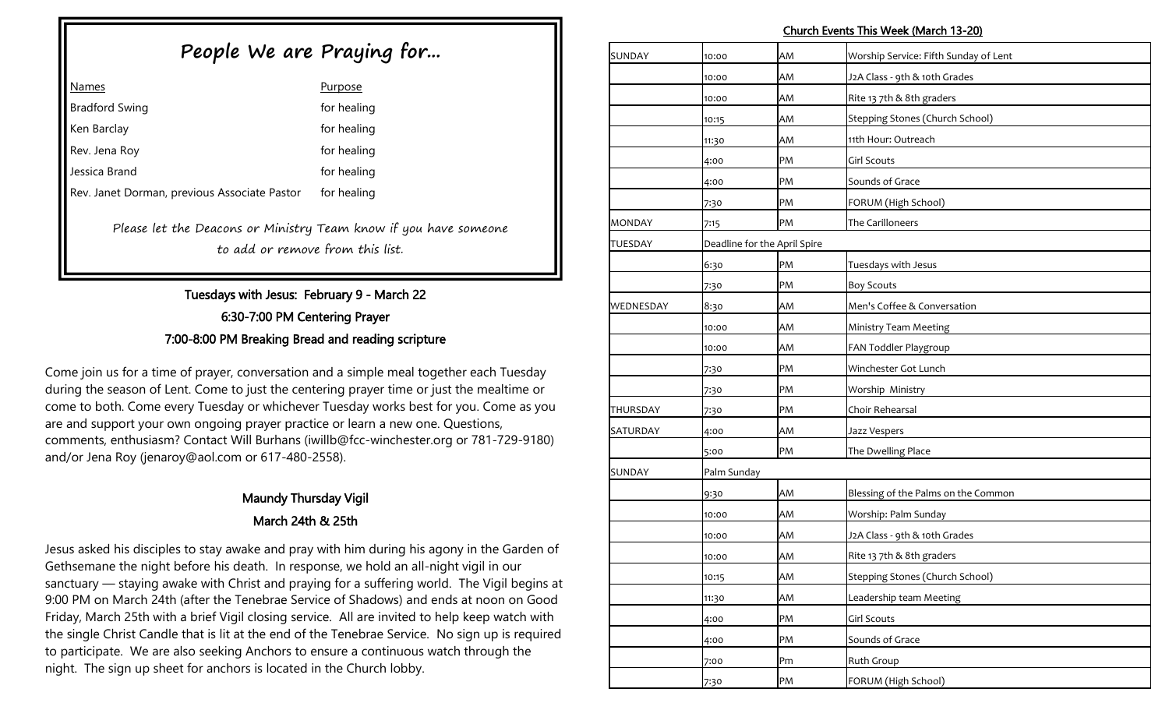#### Church Events This Week (March 13-20)

# **People We are Praying for...**

| <b>Names</b>                                 | <b>Purpose</b> |
|----------------------------------------------|----------------|
| <b>Bradford Swing</b>                        | for healing    |
| Ken Barclay                                  | for healing    |
| Rev. Jena Roy                                | for healing    |
| Jessica Brand                                | for healing    |
| Rev. Janet Dorman, previous Associate Pastor | for healing    |

Please let the Deacons or Ministry Team know if you have someone to add or remove from this list.

# Tuesdays with Jesus: February 9 - March 22 6:30-7:00 PM Centering Prayer 7:00-8:00 PM Breaking Bread and reading scripture

Come join us for a time of prayer, conversation and a simple meal together each Tuesday during the season of Lent. Come to just the centering prayer time or just the mealtime or come to both. Come every Tuesday or whichever Tuesday works best for you. Come as you are and support your own ongoing prayer practice or learn a new one. Questions, comments, enthusiasm? Contact Will Burhans (iwillb@fcc-winchester.org or 781-729-9180) and/or Jena Roy (jenaroy@aol.com or 617-480-2558).

# Maundy Thursday Vigil March 24th & 25th

Jesus asked his disciples to stay awake and pray with him during his agony in the Garden of Gethsemane the night before his death. In response, we hold an all-night vigil in our sanctuary — staying awake with Christ and praying for a suffering world. The Vigil begins at 9:00 PM on March 24th (after the Tenebrae Service of Shadows) and ends at noon on Good Friday, March 25th with a brief Vigil closing service. All are invited to help keep watch with the single Christ Candle that is lit at the end of the Tenebrae Service. No sign up is required to participate. We are also seeking Anchors to ensure a continuous watch through the night. The sign up sheet for anchors is located in the Church lobby.

| SUNDAY        | 10:00       | AM                           | Worship Service: Fifth Sunday of Lent |
|---------------|-------------|------------------------------|---------------------------------------|
|               | 10:00       | AM                           | J2A Class - 9th & 10th Grades         |
|               | 10:00       | AM                           | Rite 13 7th & 8th graders             |
|               | 10:15       | AM                           | Stepping Stones (Church School)       |
|               | 11:30       | AM                           | 11th Hour: Outreach                   |
|               | 4:00        | PM                           | <b>Girl Scouts</b>                    |
|               | 4:00        | PM                           | Sounds of Grace                       |
|               | 7:30        | PM                           | FORUM (High School)                   |
| <b>MONDAY</b> | 7:15        | PM                           | The Carilloneers                      |
| TUESDAY       |             | Deadline for the April Spire |                                       |
|               | 6:30        | PM                           | Tuesdays with Jesus                   |
|               | 7:30        | PM                           | <b>Boy Scouts</b>                     |
| WEDNESDAY     | 8:30        | AM                           | Men's Coffee & Conversation           |
|               | 10:00       | AM                           | Ministry Team Meeting                 |
|               | 10:00       | AM                           | FAN Toddler Playgroup                 |
|               | 7:30        | PM                           | Winchester Got Lunch                  |
|               | 7:30        | PM                           | Worship Ministry                      |
| THURSDAY      | 7:30        | PM                           | Choir Rehearsal                       |
| SATURDAY      | 4:00        | AM                           | Jazz Vespers                          |
|               | 5:00        | PM                           | The Dwelling Place                    |
| SUNDAY        | Palm Sunday |                              |                                       |
|               | 9:30        | AM                           | Blessing of the Palms on the Common   |
|               | 10:00       | AM                           | Worship: Palm Sunday                  |
|               | 10:00       | AM                           | J2A Class - 9th & 10th Grades         |
|               | 10:00       | AM                           | Rite 13 7th & 8th graders             |
|               | 10:15       | AM                           | Stepping Stones (Church School)       |
|               | 11:30       | AM                           | Leadership team Meeting               |
|               | 4:00        | PM                           | <b>Girl Scouts</b>                    |
|               | 4:00        | PM                           | Sounds of Grace                       |
|               | 7:00        | Pm                           | <b>Ruth Group</b>                     |
|               | 7:30        | PM                           | FORUM (High School)                   |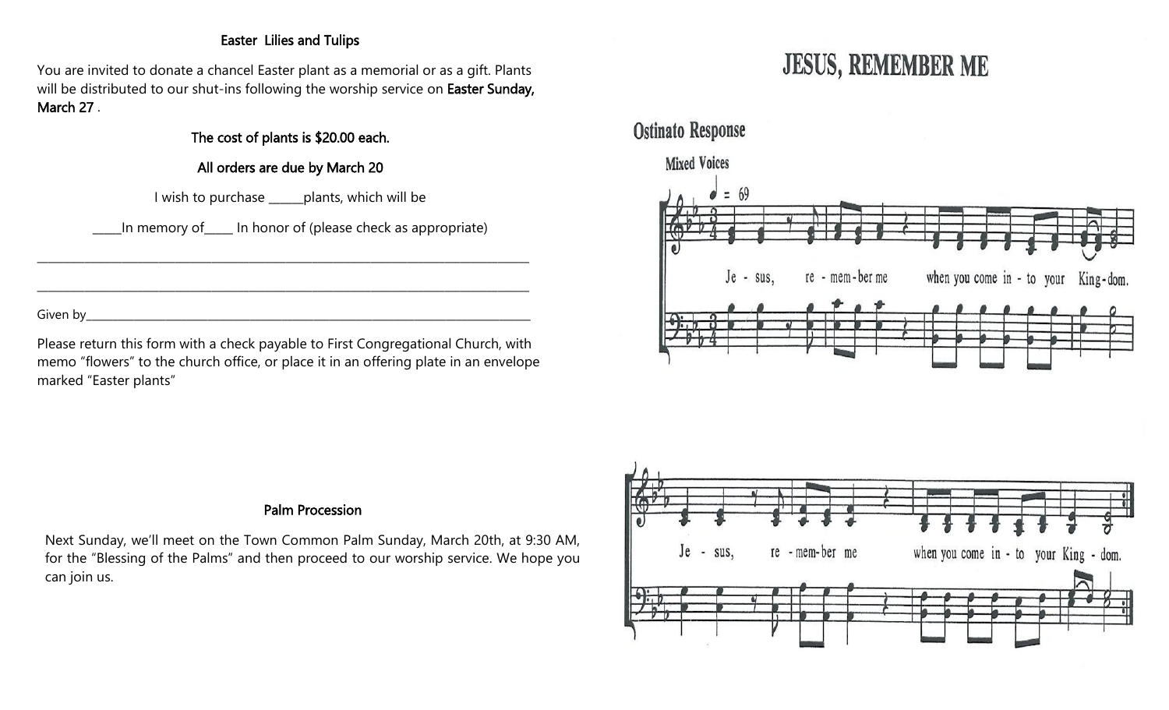## Easter Lilies and Tulips

You are invited to donate a chancel Easter plant as a memorial or as a gift. Plants will be distributed to our shut-ins following the worship service on Easter Sunday, March 27 .

# The cost of plants is \$20.00 each.

## All orders are due by March 20

I wish to purchase \_\_\_\_\_\_plants, which will be

\_\_\_\_\_\_\_\_\_\_\_\_\_\_\_\_\_\_\_\_\_\_\_\_\_\_\_\_\_\_\_\_\_\_\_\_\_\_\_\_\_\_\_\_\_\_\_\_\_\_\_\_\_\_\_\_\_\_\_\_\_\_\_\_\_\_\_\_\_\_\_\_\_\_\_\_\_\_\_\_\_\_\_\_\_\_\_\_\_\_\_\_\_

\_\_\_\_\_\_\_\_\_\_\_\_\_\_\_\_\_\_\_\_\_\_\_\_\_\_\_\_\_\_\_\_\_\_\_\_\_\_\_\_\_\_\_\_\_\_\_\_\_\_\_\_\_\_\_\_\_\_\_\_\_\_\_\_\_\_\_\_\_\_\_\_\_\_\_\_\_\_\_\_\_\_\_\_\_\_\_\_\_\_\_\_\_

\_\_\_\_\_In memory of\_\_\_\_\_ In honor of (please check as appropriate)

Given by\_\_\_\_\_\_\_\_\_\_\_\_\_\_\_\_\_\_\_\_\_\_\_\_\_\_\_\_\_\_\_\_\_\_\_\_\_\_\_\_\_\_\_\_\_\_\_\_\_\_\_\_\_\_\_\_\_\_\_\_\_\_\_\_\_\_\_\_\_\_\_\_\_\_\_\_\_\_\_\_\_\_\_\_

Please return this form with a check payable to First Congregational Church, with memo "flowers" to the church office, or place it in an offering plate in an envelope marked "Easter plants"

# **JESUS, REMEMBER ME**



#### Palm Procession

Next Sunday, we'll meet on the Town Common Palm Sunday, March 20th, at 9:30 AM, for the "Blessing of the Palms" and then proceed to our worship service. We hope you can join us.